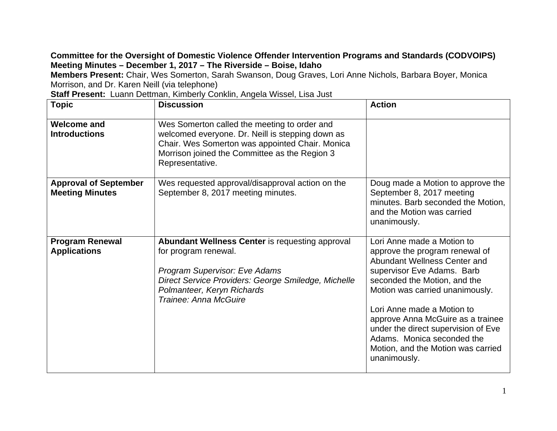## **Committee for the Oversight of Domestic Violence Offender Intervention Programs and Standards (CODVOIPS) Meeting Minutes – December 1, 2017 – The Riverside – Boise, Idaho**

**Members Present:** Chair, Wes Somerton, Sarah Swanson, Doug Graves, Lori Anne Nichols, Barbara Boyer, Monica Morrison, and Dr. Karen Neill (via telephone)

**Staff Present:** Luann Dettman, Kimberly Conklin, Angela Wissel, Lisa Just

| <b>Topic</b>                                           | <b>Discussion</b>                                                                                                                                                                                                                    | <b>Action</b>                                                                                                                                                                                                                                                                                                                                                                               |
|--------------------------------------------------------|--------------------------------------------------------------------------------------------------------------------------------------------------------------------------------------------------------------------------------------|---------------------------------------------------------------------------------------------------------------------------------------------------------------------------------------------------------------------------------------------------------------------------------------------------------------------------------------------------------------------------------------------|
| <b>Welcome and</b><br><b>Introductions</b>             | Wes Somerton called the meeting to order and<br>welcomed everyone. Dr. Neill is stepping down as<br>Chair. Wes Somerton was appointed Chair. Monica<br>Morrison joined the Committee as the Region 3<br>Representative.              |                                                                                                                                                                                                                                                                                                                                                                                             |
| <b>Approval of September</b><br><b>Meeting Minutes</b> | Wes requested approval/disapproval action on the<br>September 8, 2017 meeting minutes.                                                                                                                                               | Doug made a Motion to approve the<br>September 8, 2017 meeting<br>minutes. Barb seconded the Motion,<br>and the Motion was carried<br>unanimously.                                                                                                                                                                                                                                          |
| <b>Program Renewal</b><br><b>Applications</b>          | <b>Abundant Wellness Center is requesting approval</b><br>for program renewal.<br><b>Program Supervisor: Eve Adams</b><br>Direct Service Providers: George Smiledge, Michelle<br>Polmanteer, Keryn Richards<br>Trainee: Anna McGuire | Lori Anne made a Motion to<br>approve the program renewal of<br>Abundant Wellness Center and<br>supervisor Eve Adams. Barb<br>seconded the Motion, and the<br>Motion was carried unanimously.<br>Lori Anne made a Motion to<br>approve Anna McGuire as a trainee<br>under the direct supervision of Eve<br>Adams. Monica seconded the<br>Motion, and the Motion was carried<br>unanimously. |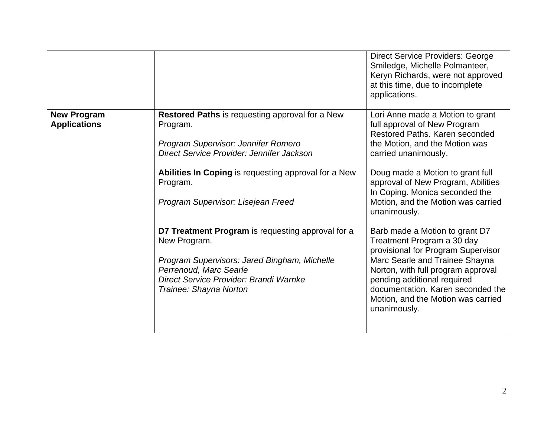|                                           |                                                                                                                                                                                                                                                                                                                                                                                                                                                                                     | <b>Direct Service Providers: George</b><br>Smiledge, Michelle Polmanteer,<br>Keryn Richards, were not approved<br>at this time, due to incomplete<br>applications.                                                                                                                                                                                                                                                                                                                                                                                                                                                                     |
|-------------------------------------------|-------------------------------------------------------------------------------------------------------------------------------------------------------------------------------------------------------------------------------------------------------------------------------------------------------------------------------------------------------------------------------------------------------------------------------------------------------------------------------------|----------------------------------------------------------------------------------------------------------------------------------------------------------------------------------------------------------------------------------------------------------------------------------------------------------------------------------------------------------------------------------------------------------------------------------------------------------------------------------------------------------------------------------------------------------------------------------------------------------------------------------------|
| <b>New Program</b><br><b>Applications</b> | <b>Restored Paths is requesting approval for a New</b><br>Program.<br>Program Supervisor: Jennifer Romero<br>Direct Service Provider: Jennifer Jackson<br>Abilities In Coping is requesting approval for a New<br>Program.<br>Program Supervisor: Lisejean Freed<br>D7 Treatment Program is requesting approval for a<br>New Program.<br>Program Supervisors: Jared Bingham, Michelle<br>Perrenoud, Marc Searle<br>Direct Service Provider: Brandi Warnke<br>Trainee: Shayna Norton | Lori Anne made a Motion to grant<br>full approval of New Program<br>Restored Paths. Karen seconded<br>the Motion, and the Motion was<br>carried unanimously.<br>Doug made a Motion to grant full<br>approval of New Program, Abilities<br>In Coping. Monica seconded the<br>Motion, and the Motion was carried<br>unanimously.<br>Barb made a Motion to grant D7<br>Treatment Program a 30 day<br>provisional for Program Supervisor<br>Marc Searle and Trainee Shayna<br>Norton, with full program approval<br>pending additional required<br>documentation. Karen seconded the<br>Motion, and the Motion was carried<br>unanimously. |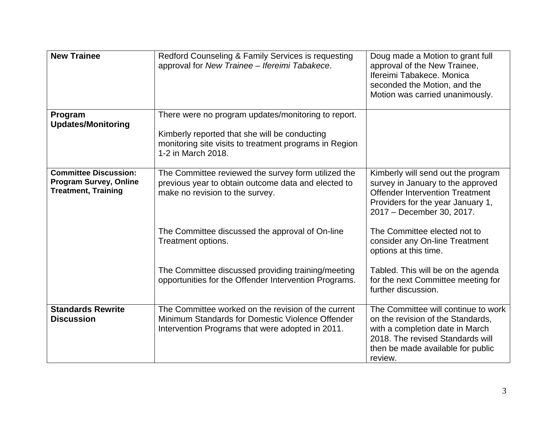| <b>New Trainee</b>                                                                          | Redford Counseling & Family Services is requesting<br>approval for New Trainee - Ifereimi Tabakece.                                                                                  | Doug made a Motion to grant full<br>approval of the New Trainee,<br>Ifereimi Tabakece, Monica<br>seconded the Motion, and the<br>Motion was carried unanimously.                                |
|---------------------------------------------------------------------------------------------|--------------------------------------------------------------------------------------------------------------------------------------------------------------------------------------|-------------------------------------------------------------------------------------------------------------------------------------------------------------------------------------------------|
| Program<br><b>Updates/Monitoring</b>                                                        | There were no program updates/monitoring to report.<br>Kimberly reported that she will be conducting<br>monitoring site visits to treatment programs in Region<br>1-2 in March 2018. |                                                                                                                                                                                                 |
| <b>Committee Discussion:</b><br><b>Program Survey, Online</b><br><b>Treatment, Training</b> | The Committee reviewed the survey form utilized the<br>previous year to obtain outcome data and elected to<br>make no revision to the survey.                                        | Kimberly will send out the program<br>survey in January to the approved<br><b>Offender Intervention Treatment</b><br>Providers for the year January 1,<br>2017 - December 30, 2017.             |
|                                                                                             | The Committee discussed the approval of On-line<br>Treatment options.                                                                                                                | The Committee elected not to<br>consider any On-line Treatment<br>options at this time.                                                                                                         |
|                                                                                             | The Committee discussed providing training/meeting<br>opportunities for the Offender Intervention Programs.                                                                          | Tabled. This will be on the agenda<br>for the next Committee meeting for<br>further discussion.                                                                                                 |
| <b>Standards Rewrite</b><br><b>Discussion</b>                                               | The Committee worked on the revision of the current<br>Minimum Standards for Domestic Violence Offender<br>Intervention Programs that were adopted in 2011.                          | The Committee will continue to work<br>on the revision of the Standards,<br>with a completion date in March<br>2018. The revised Standards will<br>then be made available for public<br>review. |